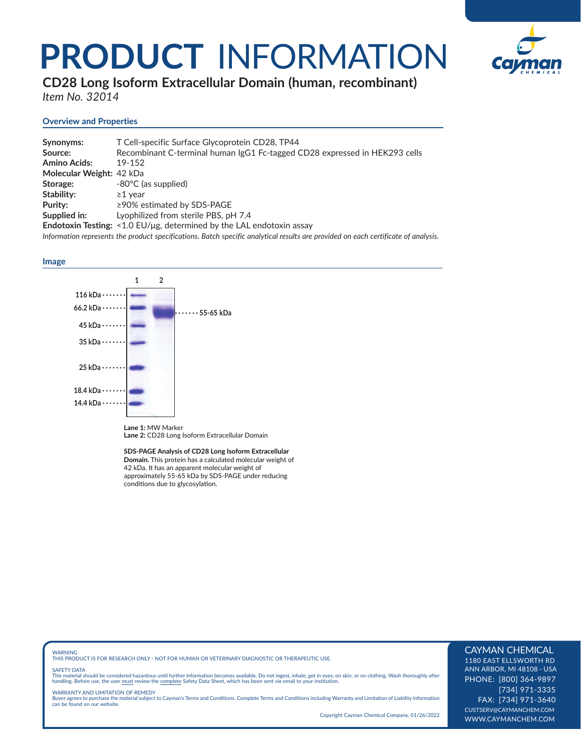# **PRODUCT** INFORMATION



**CD28 Long Isoform Extracellular Domain (human, recombinant)** *Item No. 32014*

# **Overview and Properties**

| Synonyms:                | T Cell-specific Surface Glycoprotein CD28, TP44                                                                                    |
|--------------------------|------------------------------------------------------------------------------------------------------------------------------------|
| Source:                  | Recombinant C-terminal human IgG1 Fc-tagged CD28 expressed in HEK293 cells                                                         |
| <b>Amino Acids:</b>      | 19-152                                                                                                                             |
| Molecular Weight: 42 kDa |                                                                                                                                    |
| Storage:                 | -80°C (as supplied)                                                                                                                |
| Stability:               | $\geq$ 1 vear                                                                                                                      |
| Purity:                  | $\geq$ 90% estimated by SDS-PAGE                                                                                                   |
| Supplied in:             | Lyophilized from sterile PBS, pH 7.4                                                                                               |
|                          | Endotoxin Testing: $<$ 1.0 EU/ $\mu$ g, determined by the LAL endotoxin assay                                                      |
|                          | Information represents the product specifications. Batch specific analytical results are provided on each certificate of analysis. |

### **Image**



**Lane 1:** MW Marker **Lane 2:** CD28 Long Isoform Extracellular Domain

**SDS-PAGE Analysis of CD28 Long Isoform Extracellular Domain.** This protein has a calculated molecular weight of 42 kDa. It has an apparent molecular weight of approximately 55-65 kDa by SDS-PAGE under reducing conditions due to glycosylation.

WARNING THIS PRODUCT IS FOR RESEARCH ONLY - NOT FOR HUMAN OR VETERINARY DIAGNOSTIC OR THERAPEUTIC USE.

#### SAFETY DATA

This material should be considered hazardous until further information becomes available. Do not ingest, inhale, get in eyes, on skin, or on clothing. Wash thoroughly after<br>handling. Before use, the user must review the co

WARRANTY AND LIMITATION OF REMEDY Buyer agrees to purchase the material subject to Cayman's Terms and Conditions. Complete Terms and Conditions including Warranty and Limitation of Liability information can be found on our website.

Copyright Cayman Chemical Company, 01/26/2022

# CAYMAN CHEMICAL

1180 EAST ELLSWORTH RD ANN ARBOR, MI 48108 · USA PHONE: [800] 364-9897 [734] 971-3335 FAX: [734] 971-3640 CUSTSERV@CAYMANCHEM.COM WWW.CAYMANCHEM.COM